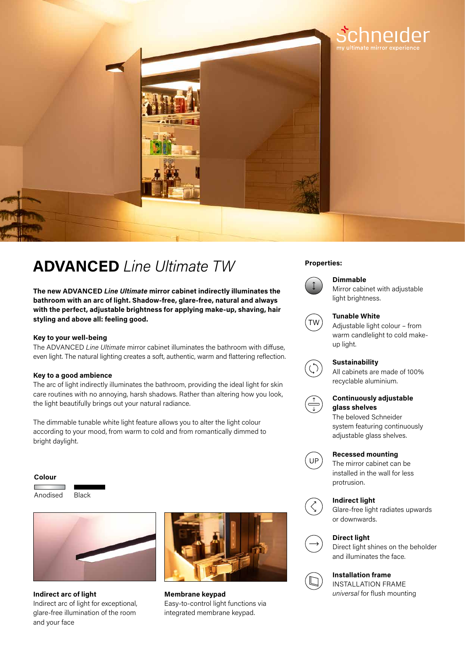

# **Properties: ADVANCED** *Line Ultimate TW*

**The new ADVANCED** *Line Ultimate* **mirror cabinet indirectly illuminates the bathroom with an arc of light. Shadow-free, glare-free, natural and always with the perfect, adjustable brightness for applying make-up, shaving, hair styling and above all: feeling good.**

## **Key to your well-being**

The ADVANCED *Line Ultimate* mirror cabinet illuminates the bathroom with diffuse, even light. The natural lighting creates a soft, authentic, warm and flattering reflection.

# **Key to a good ambience**

The arc of light indirectly illuminates the bathroom, providing the ideal light for skin care routines with no annoying, harsh shadows. Rather than altering how you look, the light beautifully brings out your natural radiance.

The dimmable tunable white light feature allows you to alter the light colour according to your mood, from warm to cold and from romantically dimmed to bright daylight.

#### **Colour**

Anodised Black



Indirect arc of light for exceptional, glare-free illumination of the room and your face



**Indirect arc of light** *Indirect arc of light universal for flush mounting* **Membrane keypad**  Easy-to-control light functions via integrated membrane keypad.



# **Dimmable**

Mirror cabinet with adjustable light brightness.



#### **Tunable White**

Adjustable light colour – from warm candlelight to cold makeup light.



# **Sustainability**

All cabinets are made of 100% recyclable aluminium.



# **Continuously adjustable glass shelves**

The beloved Schneider system featuring continuously adjustable glass shelves.



## **Recessed mounting**

The mirror cabinet can be installed in the wall for less protrusion.

### **Indirect light**



Glare-free light radiates upwards or downwards.





Direct light shines on the beholder and illuminates the face.

## **Installation frame**

INSTALLATION FRAME